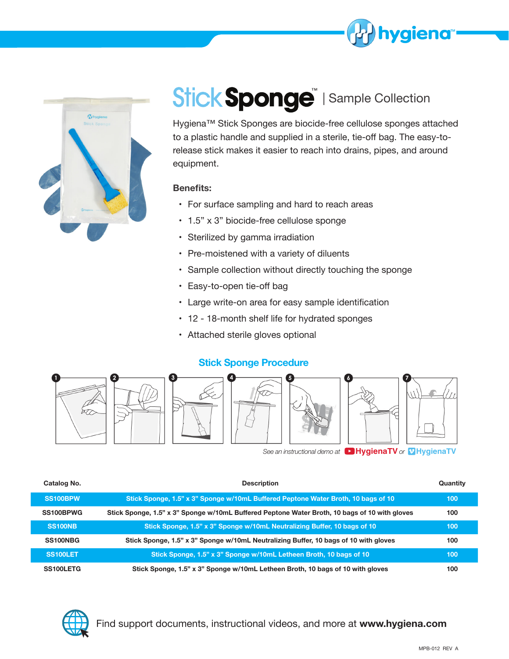



# Stick Sponge | Sample Collection

Hygiena™ Stick Sponges are biocide-free cellulose sponges attached to a plastic handle and supplied in a sterile, tie-off bag. The easy-torelease stick makes it easier to reach into drains, pipes, and around equipment.

### **Benefits:**

- For surface sampling and hard to reach areas
- 1.5" x 3" biocide-free cellulose sponge
- Sterilized by gamma irradiation
- Pre-moistened with a variety of diluents
- Sample collection without directly touching the sponge
- Easy-to-open tie-off bag
- Large write-on area for easy sample identification
- 12 18-month shelf life for hydrated sponges
- Attached sterile gloves optional

### **Stick Sponge Procedure**



**See an instructional demo at <b>HygienaTV** or **V HygienaTV** 

| Catalog No.     | <b>Description</b>                                                                            | Quantity |
|-----------------|-----------------------------------------------------------------------------------------------|----------|
| <b>SS100BPW</b> | Stick Sponge, 1.5" x 3" Sponge w/10mL Buffered Peptone Water Broth, 10 bags of 10             | 100      |
| SS100BPWG       | Stick Sponge, 1.5" x 3" Sponge w/10mL Buffered Peptone Water Broth, 10 bags of 10 with gloves | 100      |
| <b>SS100NB</b>  | Stick Sponge, 1.5" x 3" Sponge w/10mL Neutralizing Buffer, 10 bags of 10                      | 100      |
| SS100NBG        | Stick Sponge, 1.5" x 3" Sponge w/10mL Neutralizing Buffer, 10 bags of 10 with gloves          | 100      |
| <b>SS100LET</b> | Stick Sponge, 1.5" x 3" Sponge w/10mL Letheen Broth, 10 bags of 10                            | 100      |
| SS100LETG       | Stick Sponge, 1.5" x 3" Sponge w/10mL Letheen Broth, 10 bags of 10 with gloves                | 100      |